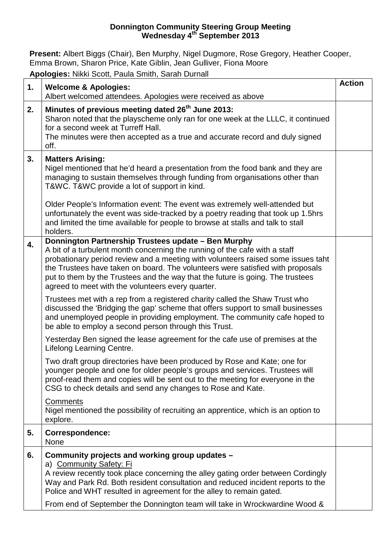## **Donnington Community Steering Group Meeting Wednesday 4th September 2013**

**Present:** Albert Biggs (Chair), Ben Murphy, Nigel Dugmore, Rose Gregory, Heather Cooper, Emma Brown, Sharon Price, Kate Giblin, Jean Gulliver, Fiona Moore

**Apologies:** Nikki Scott, Paula Smith, Sarah Durnall

| 1. | <b>Welcome &amp; Apologies:</b>                                                                                                                                                                                                                                                                                                                                                                                                                | <b>Action</b> |
|----|------------------------------------------------------------------------------------------------------------------------------------------------------------------------------------------------------------------------------------------------------------------------------------------------------------------------------------------------------------------------------------------------------------------------------------------------|---------------|
|    | Albert welcomed attendees. Apologies were received as above                                                                                                                                                                                                                                                                                                                                                                                    |               |
| 2. | Minutes of previous meeting dated 26 <sup>th</sup> June 2013:<br>Sharon noted that the playscheme only ran for one week at the LLLC, it continued<br>for a second week at Turreff Hall.<br>The minutes were then accepted as a true and accurate record and duly signed                                                                                                                                                                        |               |
|    | off.                                                                                                                                                                                                                                                                                                                                                                                                                                           |               |
| 3. | <b>Matters Arising:</b><br>Nigel mentioned that he'd heard a presentation from the food bank and they are<br>managing to sustain themselves through funding from organisations other than<br>T&WC. T&WC provide a lot of support in kind.                                                                                                                                                                                                      |               |
|    | Older People's Information event: The event was extremely well-attended but<br>unfortunately the event was side-tracked by a poetry reading that took up 1.5hrs<br>and limited the time available for people to browse at stalls and talk to stall<br>holders.                                                                                                                                                                                 |               |
| 4. | Donnington Partnership Trustees update - Ben Murphy<br>A bit of a turbulent month concerning the running of the cafe with a staff<br>probationary period review and a meeting with volunteers raised some issues taht<br>the Trustees have taken on board. The volunteers were satisfied with proposals<br>put to them by the Trustees and the way that the future is going. The trustees<br>agreed to meet with the volunteers every quarter. |               |
|    | Trustees met with a rep from a registered charity called the Shaw Trust who<br>discussed the 'Bridging the gap' scheme that offers support to small businesses<br>and unemployed people in providing employment. The community cafe hoped to<br>be able to employ a second person through this Trust.                                                                                                                                          |               |
|    | Yesterday Ben signed the lease agreement for the cafe use of premises at the<br>Lifelong Learning Centre.                                                                                                                                                                                                                                                                                                                                      |               |
|    | Two draft group directories have been produced by Rose and Kate; one for<br>younger people and one for older people's groups and services. Trustees will<br>proof-read them and copies will be sent out to the meeting for everyone in the<br>CSG to check details and send any changes to Rose and Kate.                                                                                                                                      |               |
|    | Comments<br>Nigel mentioned the possibility of recruiting an apprentice, which is an option to<br>explore.                                                                                                                                                                                                                                                                                                                                     |               |
| 5. | Correspondence:<br><b>None</b>                                                                                                                                                                                                                                                                                                                                                                                                                 |               |
| 6. | Community projects and working group updates -<br>a) Community Safety: Fi<br>A review recently took place concerning the alley gating order between Cordingly<br>Way and Park Rd. Both resident consultation and reduced incident reports to the<br>Police and WHT resulted in agreement for the alley to remain gated.<br>From end of September the Donnington team will take in Wrockwardine Wood &                                          |               |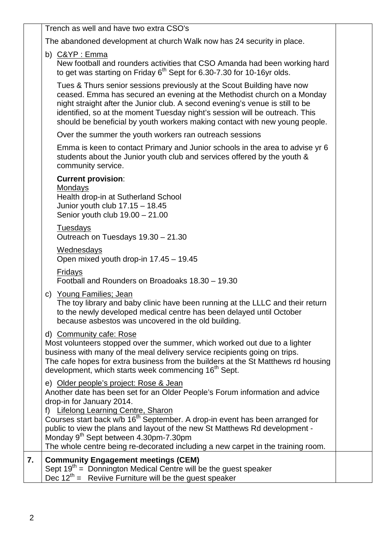| Trench as well and have two extra CSO's                                                                                                                                                                                                                                                                                                                                                                                                                                                                        |
|----------------------------------------------------------------------------------------------------------------------------------------------------------------------------------------------------------------------------------------------------------------------------------------------------------------------------------------------------------------------------------------------------------------------------------------------------------------------------------------------------------------|
| The abandoned development at church Walk now has 24 security in place.                                                                                                                                                                                                                                                                                                                                                                                                                                         |
| b) C&YP : Emma<br>New football and rounders activities that CSO Amanda had been working hard<br>to get was starting on Friday $6th$ Sept for 6.30-7.30 for 10-16yr olds.                                                                                                                                                                                                                                                                                                                                       |
| Tues & Thurs senior sessions previously at the Scout Building have now<br>ceased. Emma has secured an evening at the Methodist church on a Monday<br>night straight after the Junior club. A second evening's venue is still to be<br>identified, so at the moment Tuesday night's session will be outreach. This<br>should be beneficial by youth workers making contact with new young people.                                                                                                               |
| Over the summer the youth workers ran outreach sessions                                                                                                                                                                                                                                                                                                                                                                                                                                                        |
| Emma is keen to contact Primary and Junior schools in the area to advise yr 6<br>students about the Junior youth club and services offered by the youth &<br>community service.                                                                                                                                                                                                                                                                                                                                |
| <b>Current provision:</b><br>Mondays<br>Health drop-in at Sutherland School<br>Junior youth club 17.15 - 18.45<br>Senior youth club $19.00 - 21.00$                                                                                                                                                                                                                                                                                                                                                            |
| <b>Tuesdays</b><br>Outreach on Tuesdays 19.30 - 21.30                                                                                                                                                                                                                                                                                                                                                                                                                                                          |
| Wednesdays<br>Open mixed youth drop-in 17.45 - 19.45                                                                                                                                                                                                                                                                                                                                                                                                                                                           |
| Fridays<br>Football and Rounders on Broadoaks 18.30 - 19.30                                                                                                                                                                                                                                                                                                                                                                                                                                                    |
| c) Young Families; Jean<br>The toy library and baby clinic have been running at the LLLC and their return<br>to the newly developed medical centre has been delayed until October<br>because asbestos was uncovered in the old building.                                                                                                                                                                                                                                                                       |
| d) Community cafe: Rose<br>Most volunteers stopped over the summer, which worked out due to a lighter<br>business with many of the meal delivery service recipients going on trips.<br>The cafe hopes for extra business from the builders at the St Matthews rd housing<br>development, which starts week commencing 16 <sup>th</sup> Sept.                                                                                                                                                                   |
| e) Older people's project: Rose & Jean<br>Another date has been set for an Older People's Forum information and advice<br>drop-in for January 2014.<br>f) Lifelong Learning Centre, Sharon<br>Courses start back w/b 16 <sup>th</sup> September. A drop-in event has been arranged for<br>public to view the plans and layout of the new St Matthews Rd development -<br>Monday 9 <sup>th</sup> Sept between 4.30pm-7.30pm<br>The whole centre being re-decorated including a new carpet in the training room. |
| <b>Community Engagement meetings (CEM)</b><br>Sept $19th$ = Donnington Medical Centre will be the guest speaker<br>Dec $12^{th}$ = Reviive Furniture will be the guest speaker                                                                                                                                                                                                                                                                                                                                 |